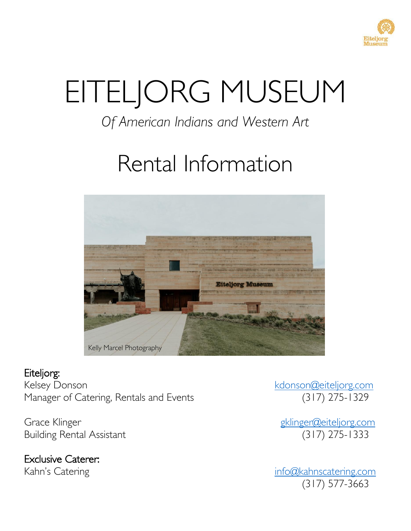

# EITELJORG MUSEUM

## *Of American Indians and Western Art*

## Rental Information



## Eiteljorg:

Kelsey Donson<br>Manager of Catering, Rentals and Events (317) 275-1329 Manager of Catering, Rentals and Events

Grace Klinger<br>Building Rental Assistant (317) 275-1333 **Building Rental Assistant** 

Exclusive Caterer:

Kahn's Catering info@kahnscatering.com (317) 577-3663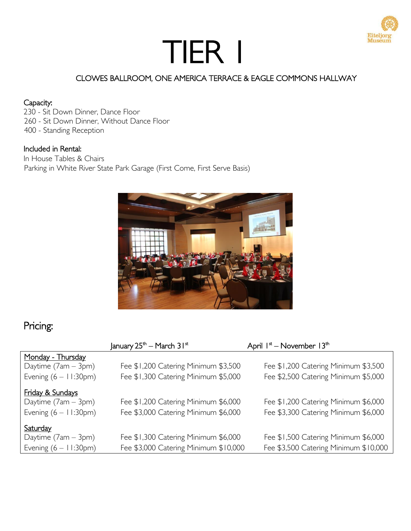

## CLOWES BALLROOM, ONE AMERICA TERRACE & EAGLE COMMONS HALLWAY

#### Capacity:

- 230 Sit Down Dinner, Dance Floor
- 260 Sit Down Dinner, Without Dance Floor
- 400 Standing Reception

#### Included in Rental:

In House Tables & Chairs Parking in White River State Park Garage (First Come, First Serve Basis)



## Pricing:

|                                 | January $25^{\text{th}}$ – March $31^{\text{st}}$ | April I <sup>st</sup> – November 13 <sup>th</sup> |
|---------------------------------|---------------------------------------------------|---------------------------------------------------|
| Monday - Thursday               |                                                   |                                                   |
| Daytime (7am - 3pm)             | Fee \$1,200 Catering Minimum \$3,500              | Fee \$1,200 Catering Minimum \$3,500              |
| Evening $(6 - 11:30 \text{pm})$ | Fee \$1,300 Catering Minimum \$5,000              | Fee \$2,500 Catering Minimum \$5,000              |
| Friday & Sundays                |                                                   |                                                   |
| Daytime $(7am - 3pm)$           | Fee \$1,200 Catering Minimum \$6,000              | Fee \$1,200 Catering Minimum \$6,000              |
| Evening $(6 - 11:30 \text{pm})$ | Fee \$3,000 Catering Minimum \$6,000              | Fee \$3,300 Catering Minimum \$6,000              |
| <b>Saturday</b>                 |                                                   |                                                   |
| Daytime $(7am - 3pm)$           | Fee \$1,300 Catering Minimum \$6,000              | Fee \$1,500 Catering Minimum \$6,000              |
| Evening $(6 - 11:30 \text{pm})$ | Fee \$3,000 Catering Minimum \$10,000             | Fee \$3,500 Catering Minimum \$10,000             |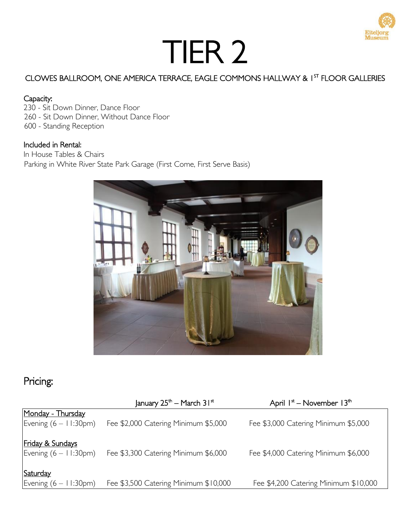### CLOWES BALLROOM, ONE AMERICA TERRACE, EAGLE COMMONS HALLWAY & 1 ST FLOOR GALLERIES

#### Capacity:

230 - Sit Down Dinner, Dance Floor 260 - Sit Down Dinner, Without Dance Floor 600 - Standing Reception

#### Included in Rental:

In House Tables & Chairs Parking in White River State Park Garage (First Come, First Serve Basis)



## Pricing:

|                                                                | January $25^{\text{th}}$ – March $31^{\text{st}}$ | April $I^*$ – November $I3^{\text{th}}$ |
|----------------------------------------------------------------|---------------------------------------------------|-----------------------------------------|
| Monday - Thursday<br>Evening $(6 - 11:30 \text{pm})$           | Fee \$2,000 Catering Minimum \$5,000              | Fee \$3,000 Catering Minimum \$5,000    |
| <b>Friday &amp; Sundays</b><br>Evening $(6 - 11:30 \text{pm})$ | Fee \$3,300 Catering Minimum \$6,000              | Fee \$4,000 Catering Minimum \$6,000    |
| Saturday<br>Evening $(6 - 11:30 \text{pm})$                    | Fee \$3,500 Catering Minimum \$10,000             | Fee \$4,200 Catering Minimum \$10,000   |

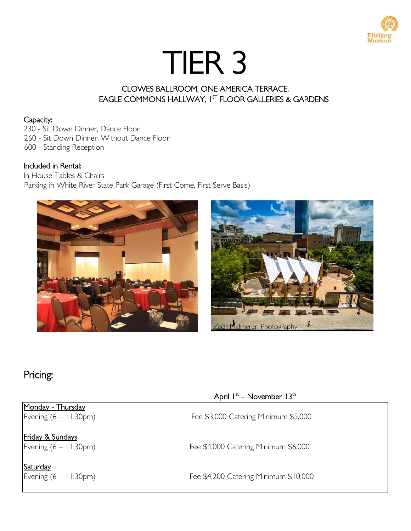

## CLOWES BALLROOM, ONE AMERICA TERRACE, EAGLE COMMONS HALLWAY, I<sup>st</sup> FLOOR GALLERIES & GARDENS

#### Capacity:

230 - Sit Down Dinner, Dance Floor 260 - Sit Down Dinner, Without Dance Floor

600 - Standing Reception

#### Included in Rental:

In House Tables & Chairs Parking in White River State Park Garage (First Come, First Serve Basis)





## Pricing:

## Monday - Thursday

Friday & Sundays

**Saturday**<br>Evening (6 – 11:30pm)

### April 1st – November 13th

Evening (6 – 11:30pm) Fee \$3,000 Catering Minimum \$5,000

Evening (6 – 11:30pm) Fee \$4,000 Catering Minimum \$6,000

Fee \$4,200 Catering Minimum \$10,000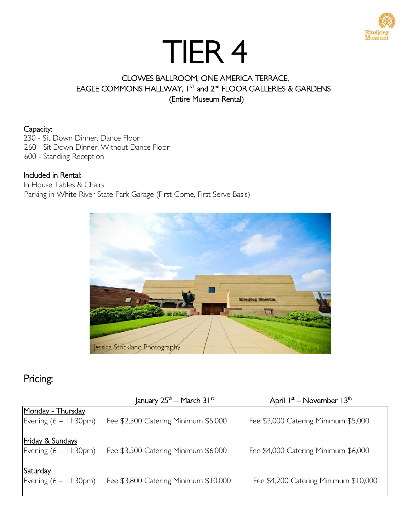

## CLOWES BALLROOM, ONE AMERICA TERRACE, EAGLE COMMONS HALLWAY,  $1^{ST}$  and  $2^{nd}$  FLOOR GALLERIES & GARDENS *(Entire Museum Rental)*

#### Capacity:

230 - Sit Down Dinner, Dance Floor

260 - Sit Down Dinner, Without Dance Floor

600 - Standing Reception

#### Included in Rental:

In House Tables & Chairs Parking in White River State Park Garage (First Come, First Serve Basis)



## Pricing:

|                                                                | January $25^{\text{th}}$ – March $31^{\text{st}}$ | April $1st$ – November $13th$         |
|----------------------------------------------------------------|---------------------------------------------------|---------------------------------------|
| Monday - Thursday<br>Evening $(6 - 11:30 \text{pm})$           | Fee \$2,500 Catering Minimum \$5,000              | Fee \$3,000 Catering Minimum \$5,000  |
| <b>Friday &amp; Sundays</b><br>Evening $(6 - 11:30 \text{pm})$ | Fee \$3,500 Catering Minimum \$6,000              | Fee \$4,000 Catering Minimum \$6,000  |
| Saturday<br>Evening $(6 - 11:30 \text{pm})$                    | Fee \$3,800 Catering Minimum \$10,000             | Fee \$4,200 Catering Minimum \$10,000 |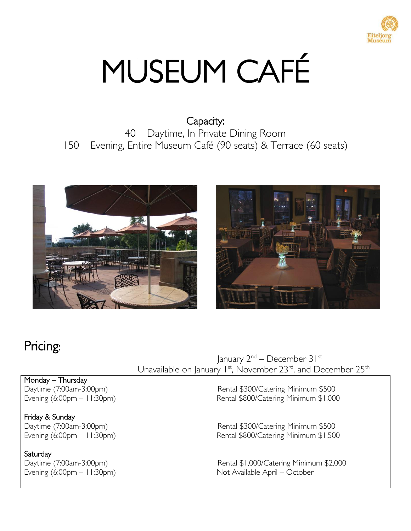

# MUSEUM CAFÉ

## Capacity: 40 – Daytime, In Private Dining Room 150 – Evening, Entire Museum Café (90 seats) & Terrace (60 seats)





## Pricing:

 January 2nd – December 31st Unavailable on January  $1^{st}$ , November 23<sup>rd</sup>, and December 25<sup>th</sup>

Monday – Thursday

Friday & Sunday

**Saturday** 

Daytime (7:00am-3:00pm)<br>Evening (6:00pm – 11:30pm) Rental \$800/Catering Minimum \$1,000 Rental \$800/Catering Minimum \$1,000

Daytime (7:00am-3:00pm)<br>Evening (6:00pm – 11:30pm) Rental \$800/Catering Minimum \$1,500 Rental \$800/Catering Minimum \$1,500

Daytime (7:00am-3:00pm)<br>
Evening (6:00pm – 11:30pm)<br>
Rental \$1,000/Catering Minimum \$2,000<br>
Not Available April – October Not Available April – October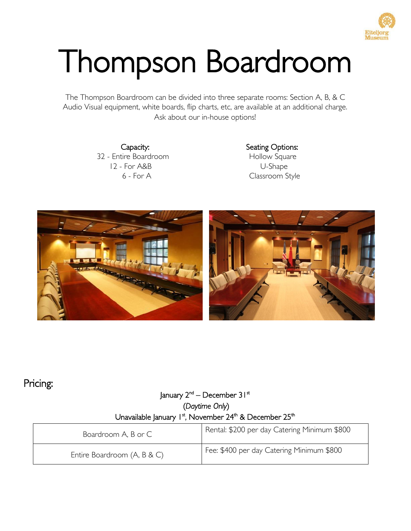

# Thompson Boardroom

The Thompson Boardroom can be divided into three separate rooms: Section A, B, & C Audio Visual equipment, white boards, flip charts, etc, are available at an additional charge. Ask about our in-house options!

> 32 - Entire Boardroom **Hollow Square** 12 - For A&B U-Shape

Capacity: Seating Options: 6 - For A Classroom Style



## Pricing:

## January 2<sup>nd</sup> – December 3 I <sup>st</sup> (*Daytime Only*) Unavailable January 1st, November 24th & December 25th

| Boardroom A, B or C         | Rental: \$200 per day Catering Minimum \$800 |
|-----------------------------|----------------------------------------------|
| Entire Boardroom (A, B & C) | Fee: \$400 per day Catering Minimum \$800    |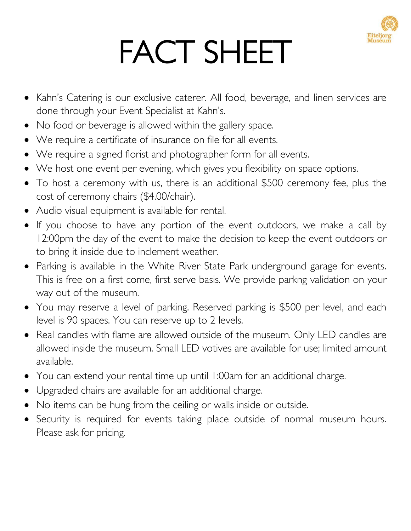

# FACT SHEET

- Kahn's Catering is our exclusive caterer. All food, beverage, and linen services are done through your Event Specialist at Kahn's.
- No food or beverage is allowed within the gallery space.
- We require a certificate of insurance on file for all events.
- We require a signed florist and photographer form for all events.
- We host one event per evening, which gives you flexibility on space options.
- To host a ceremony with us, there is an additional \$500 ceremony fee, plus the cost of ceremony chairs (\$4.00/chair).
- Audio visual equipment is available for rental.
- If you choose to have any portion of the event outdoors, we make a call by 12:00pm the day of the event to make the decision to keep the event outdoors or to bring it inside due to inclement weather.
- Parking is available in the White River State Park underground garage for events. This is free on a first come, first serve basis. We provide parkng validation on your way out of the museum.
- You may reserve a level of parking. Reserved parking is \$500 per level, and each level is 90 spaces. You can reserve up to 2 levels.
- Real candles with flame are allowed outside of the museum. Only LED candles are allowed inside the museum. Small LED votives are available for use; limited amount available.
- You can extend your rental time up until 1:00am for an additional charge.
- Upgraded chairs are available for an additional charge.
- No items can be hung from the ceiling or walls inside or outside.
- Security is required for events taking place outside of normal museum hours. Please ask for pricing.